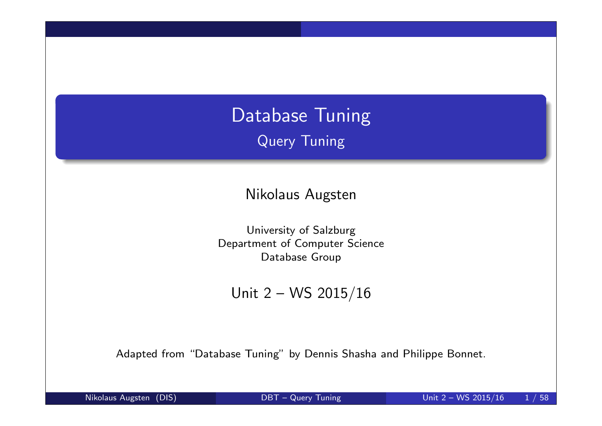# Database Tuning Query Tuning

Nikolaus Augsten

University of Salzburg Department of Computer Science Database Group

Unit 2 – WS 2015/16

Adapted from "Database Tuning" by Dennis Shasha and Philippe Bonnet.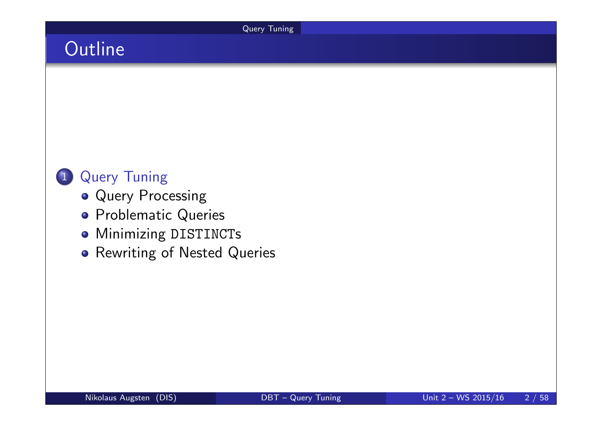Query Tuning

# **Outline**



- Query Processing
- **•** Problematic Queries
- **Minimizing DISTINCTs**
- **•** Rewriting of Nested Queries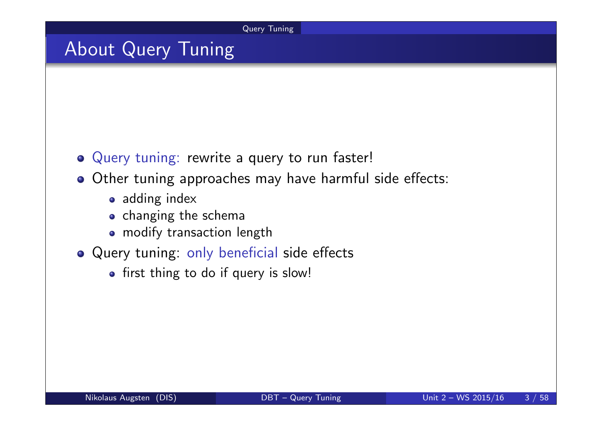Query Tuning

## About Query Tuning

- Query tuning: rewrite a query to run faster!
- o Other tuning approaches may have harmful side effects:
	- adding index
	- o changing the schema
	- modify transaction length
- Query tuning: only beneficial side effects
	- first thing to do if query is slow!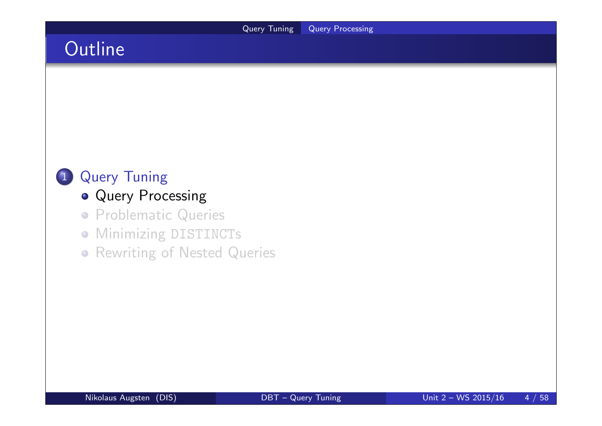# **Outline**



- **Query Processing**
- **Problematic Queries**
- **Minimizing DISTINCTs**
- **Rewriting of Nested Queries**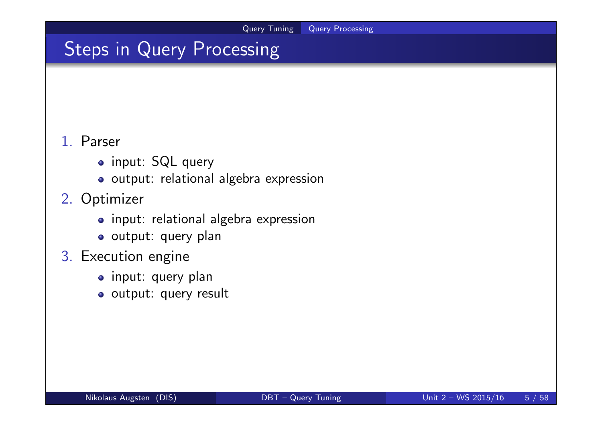# Steps in Query Processing

#### 1. Parser

- input: SQL query
- o output: relational algebra expression

### 2. Optimizer

- input: relational algebra expression
- o output: query plan
- 3. Execution engine
	- o input: query plan
	- o output: query result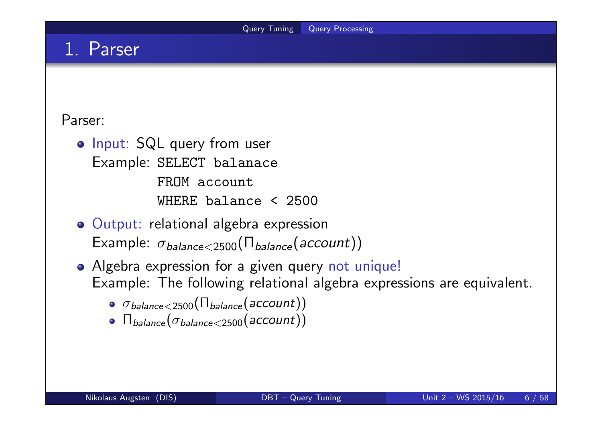## 1. Parser

#### Parser:

- o Input: SQL query from user Example: SELECT balanace FROM account WHERE balance < 2500
- Output: relational algebra expression Example:  $\sigma_{\text{balance} < 2500}(\Pi_{\text{balance}}(\text{account}))$
- Algebra expression for a given query not unique! Example: The following relational algebra expressions are equivalent.
	- $\bullet$   $\sigma_{\text{balance} < 2500}(\Pi_{\text{balance}}(\text{account}))$
	- $\bullet$   $\Pi_{\text{balance}}(\sigma_{\text{balance}<2500}(\text{account}))$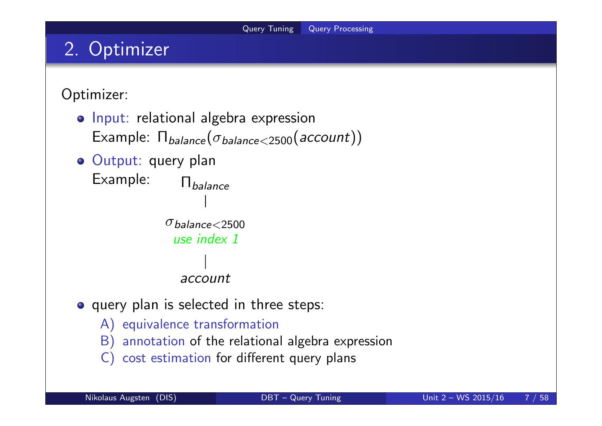## 2. Optimizer

Optimizer:

- o Input: relational algebra expression Example:  $\Pi_{\text{balance}}(\sigma_{\text{balance} < 2500}(\text{account}))$
- Output: query plan Example: Π<sub>balance</sub>

```
\sigma_{\textit{balance}<2500}use index 1
   account
```
- o query plan is selected in three steps:
	- A) equivalence transformation
	- B) annotation of the relational algebra expression
	- C) cost estimation for different query plans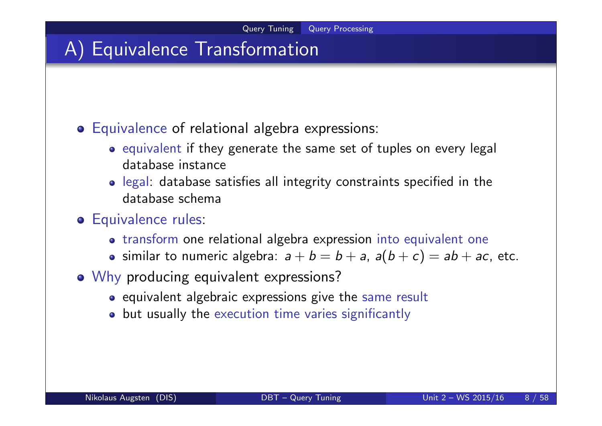## A) Equivalence Transformation

#### Equivalence of relational algebra expressions:

- o equivalent if they generate the same set of tuples on every legal database instance
- legal: database satisfies all integrity constraints specified in the database schema
- **o** Equivalence rules:
	- o transform one relational algebra expression into equivalent one
	- similar to numeric algebra:  $a + b = b + a$ ,  $a(b + c) = ab + ac$ , etc.
- o Why producing equivalent expressions?
	- equivalent algebraic expressions give the same result
	- but usually the execution time varies significantly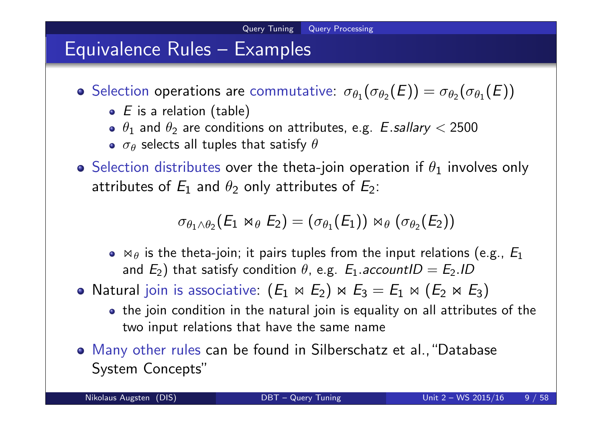## Equivalence Rules – Examples

Selection operations are commutative:  $\sigma_{\theta_1}(\sigma_{\theta_2}(E)) = \sigma_{\theta_2}(\sigma_{\theta_1}(E))$ 

- $\bullet$  E is a relation (table)
- $\theta_1$  and  $\theta_2$  are conditions on attributes, e.g.  $\emph{\textbf{E}}$  .sallary  $<$  2500
- $\sigma_\theta$  selects all tuples that satisfy  $\theta$
- **•** Selection distributes over the theta-join operation if  $\theta_1$  involves only attributes of  $E_1$  and  $\theta_2$  only attributes of  $E_2$ :

$$
\sigma_{\theta_1 \wedge \theta_2} (E_1 \bowtie_{\theta} E_2) = (\sigma_{\theta_1}(E_1)) \bowtie_{\theta} (\sigma_{\theta_2}(E_2))
$$

- $\bullet$   $\bowtie$   $\theta$  is the theta-join; it pairs tuples from the input relations (e.g.,  $E_1$ ) and  $E_2)$  that satisfy condition  $\theta$ , e.g.  $E_1$ .accountI $D=E_2$ .ID
- Natural join is associative:  $(E_1 \Join E_2) \Join E_3 = E_1 \Join (E_2 \Join E_3)$ 
	- the join condition in the natural join is equality on all attributes of the two input relations that have the same name
- Many other rules can be found in Silberschatz et al.,"Database System Concepts"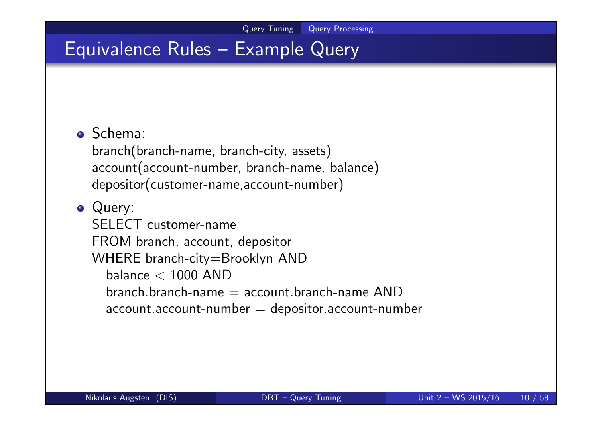## Equivalence Rules – Example Query

#### Schema:

branch(branch-name, branch-city, assets) account(account-number, branch-name, balance) depositor(customer-name,account-number)

### • Query: SELECT customer-name FROM branch, account, depositor WHERE branch-city=Brooklyn AND balance  $<$  1000 AND  $branch\, branch\,-name = account\, branch\,-name\, AND$  $account$  account-number  $=$  depositor account-number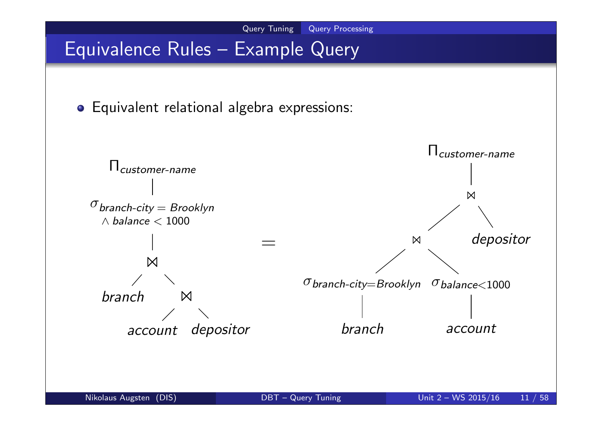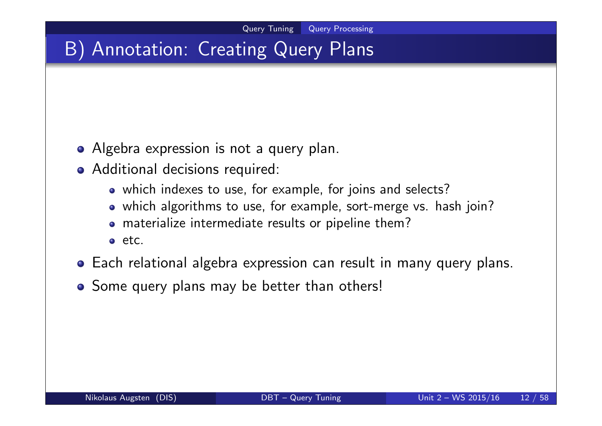# B) Annotation: Creating Query Plans

- Algebra expression is not a query plan.
- Additional decisions required:
	- which indexes to use, for example, for joins and selects?
	- which algorithms to use, for example, sort-merge vs. hash join?
	- materialize intermediate results or pipeline them?
	- etc.
- Each relational algebra expression can result in many query plans.
- Some query plans may be better than others!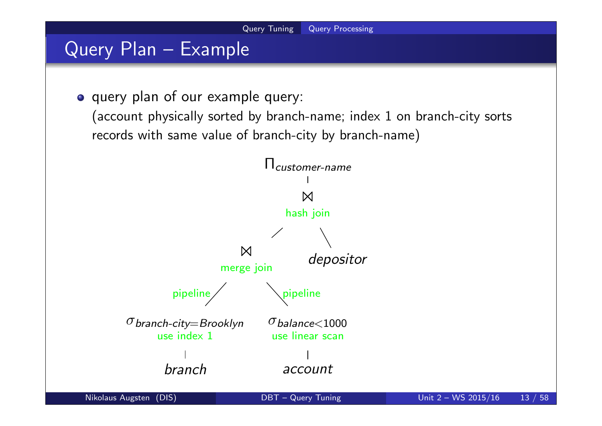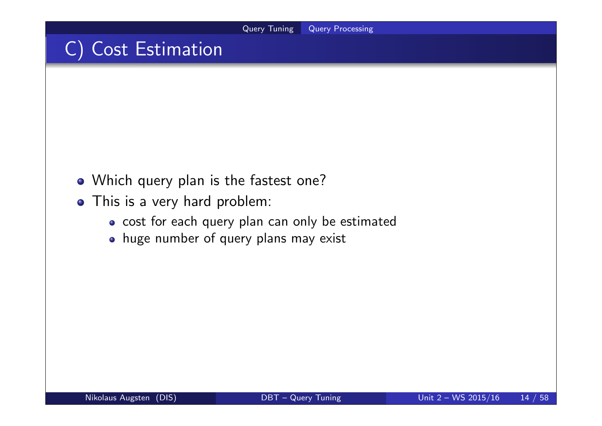## C) Cost Estimation

- Which query plan is the fastest one?
- This is a very hard problem:
	- cost for each query plan can only be estimated
	- huge number of query plans may exist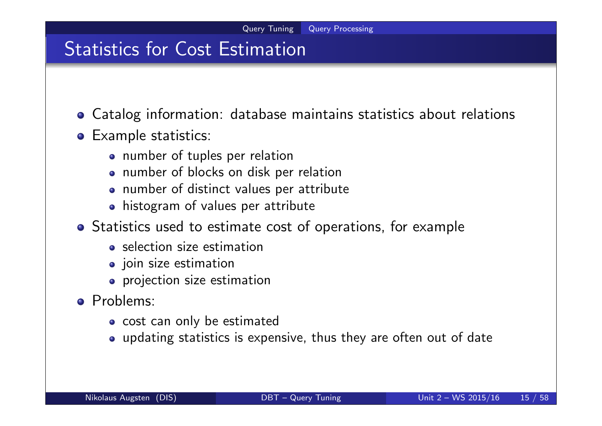### Statistics for Cost Estimation

- Catalog information: database maintains statistics about relations
- **o** Example statistics:
	- number of tuples per relation
	- number of blocks on disk per relation
	- number of distinct values per attribute
	- histogram of values per attribute
- Statistics used to estimate cost of operations, for example
	- selection size estimation
	- join size estimation
	- **•** projection size estimation
- Problems:
	- o cost can only be estimated
	- updating statistics is expensive, thus they are often out of date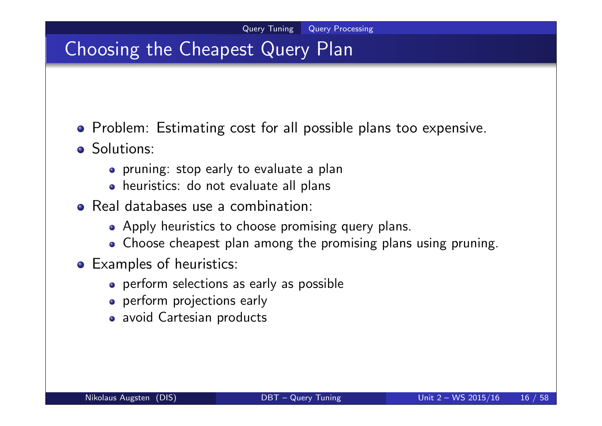## Choosing the Cheapest Query Plan

- **•** Problem: Estimating cost for all possible plans too expensive.
- **o** Solutions:
	- pruning: stop early to evaluate a plan
	- heuristics: do not evaluate all plans
- Real databases use a combination:
	- Apply heuristics to choose promising query plans.
	- Choose cheapest plan among the promising plans using pruning.
- Examples of heuristics:
	- perform selections as early as possible
	- **•** perform projections early
	- avoid Cartesian products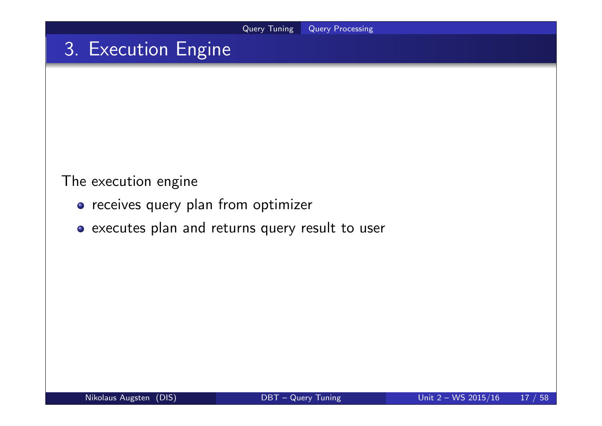# 3. Execution Engine

The execution engine

- o receives query plan from optimizer
- executes plan and returns query result to user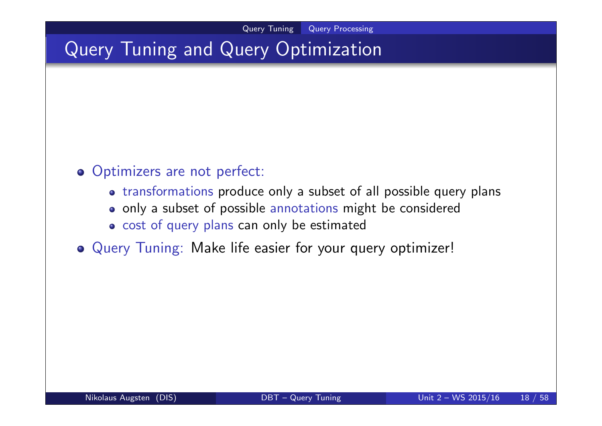## Query Tuning and Query Optimization

#### o Optimizers are not perfect:

- transformations produce only a subset of all possible query plans
- only a subset of possible annotations might be considered
- o cost of query plans can only be estimated
- Query Tuning: Make life easier for your query optimizer!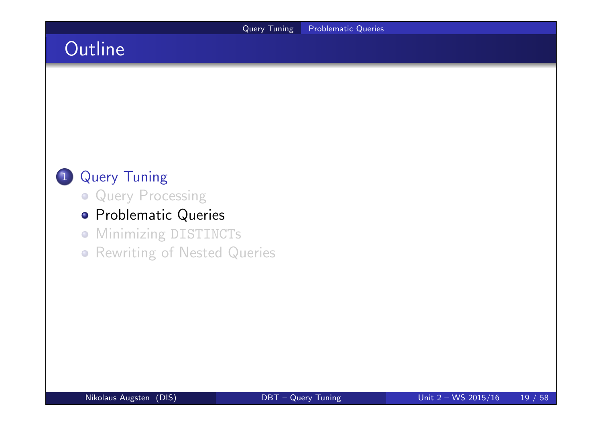# **Outline**



- **Query Processing**
- **•** Problematic Queries
- **Minimizing DISTINCTs**
- **Rewriting of Nested Queries**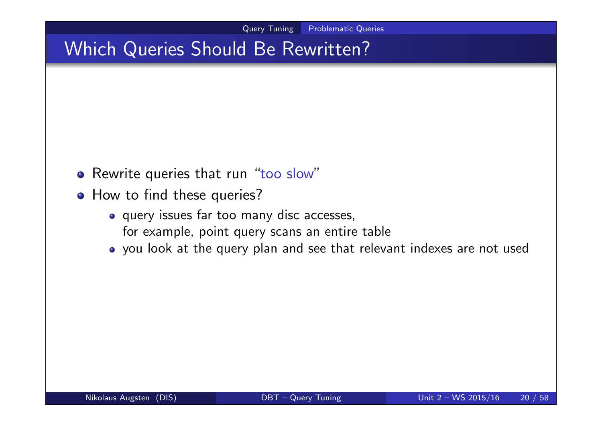# Which Queries Should Be Rewritten?

- o Rewrite queries that run "too slow"
- How to find these queries?
	- query issues far too many disc accesses, for example, point query scans an entire table
	- you look at the query plan and see that relevant indexes are not used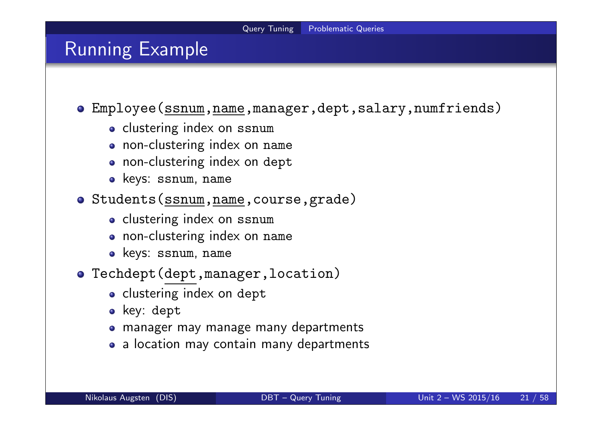### Running Example

Employee(ssnum,name,manager,dept,salary,numfriends)

- o clustering index on ssnum
- non-clustering index on name
- non-clustering index on dept
- keys: ssnum, name
- o Students(ssnum, name, course, grade)
	- o clustering index on ssnum
	- non-clustering index on name
	- keys: ssnum, name
- Techdept(dept,manager,location)
	- o clustering index on dept
	- key: dept
	- manager may manage many departments
	- a location may contain many departments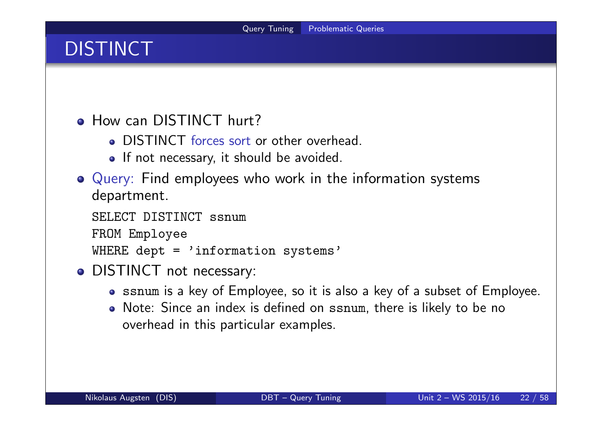# **DISTINCT**

**• How can DISTINCT hurt?** 

- DISTINCT forces sort or other overhead.
- If not necessary, it should be avoided.
- Query: Find employees who work in the information systems department.

```
SELECT DISTINCT ssnum
FROM Employee
WHERE dept = 'information systems'
```
- DISTINCT not necessary:
	- ssnum is a key of Employee, so it is also a key of a subset of Employee.
	- Note: Since an index is defined on ssnum, there is likely to be no overhead in this particular examples.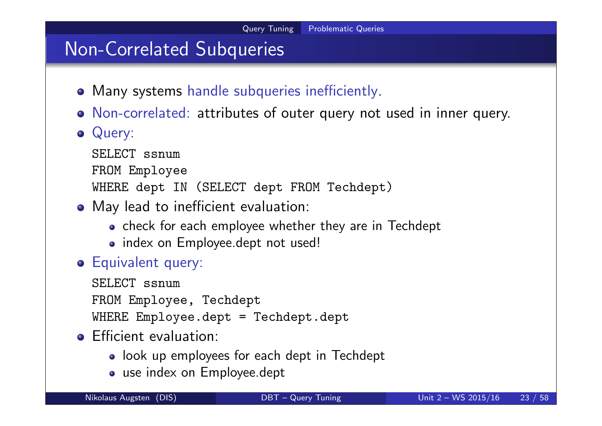## Non-Correlated Subqueries

- Many systems handle subqueries inefficiently.
- Non-correlated: attributes of outer query not used in inner query.
- Query:

```
SELECT ssnum
```

```
FROM Employee
```

```
WHERE dept IN (SELECT dept FROM Techdept)
```
- May lead to inefficient evaluation:
	- check for each employee whether they are in Techdept
	- index on Employee.dept not used!
- Equivalent query:

SELECT ssnum FROM Employee, Techdept WHERE Employee.dept = Techdept.dept

- **•** Efficient evaluation:
	- look up employees for each dept in Techdept
	- use index on Employee.dept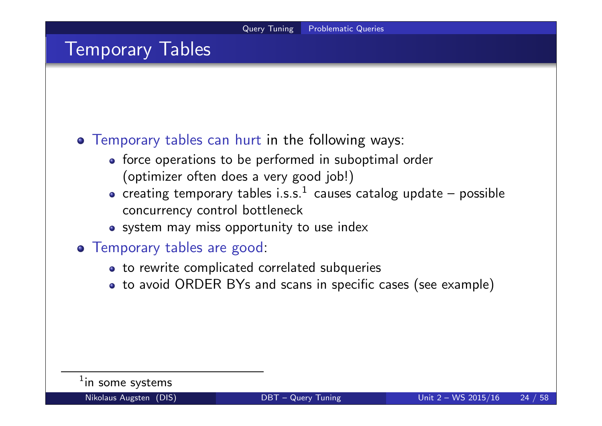### Temporary Tables

#### Temporary tables can hurt in the following ways:

- force operations to be performed in suboptimal order (optimizer often does a very good job!)
- creating temporary tables i.s.s. $^1\,$  causes catalog update  $-$  possible concurrency control bottleneck
- system may miss opportunity to use index
- Temporary tables are good:
	- to rewrite complicated correlated subqueries
	- to avoid ORDER BYs and scans in specific cases (see example)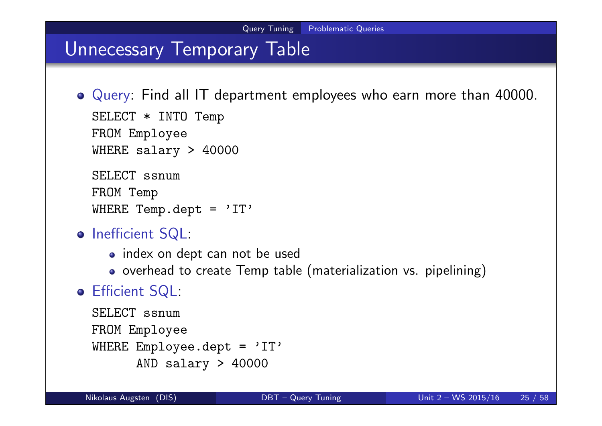### Unnecessary Temporary Table

Query: Find all IT department employees who earn more than 40000.

```
SELECT * INTO Temp
FROM Employee
WHERE salary > 40000
```
SELECT ssnum FROM Temp WHERE Temp.dept =  $'IT'$ 

- o Inefficient SQL:
	- index on dept can not be used
	- o overhead to create Temp table (materialization vs. pipelining)

### Efficient SQL:

```
SELECT ssnum
FROM Employee
WHERE Employee.dept = 'IT'
      AND salary > 40000
```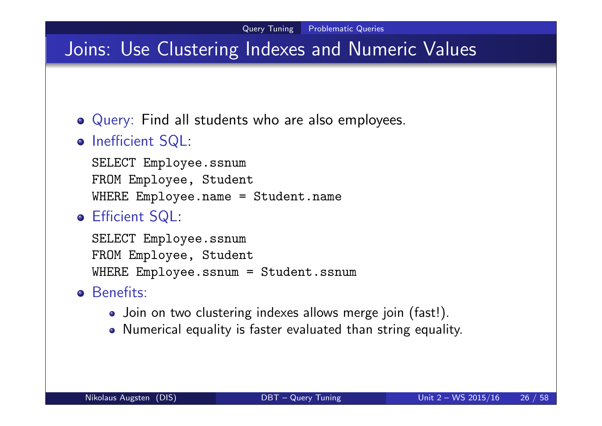## Joins: Use Clustering Indexes and Numeric Values

- Query: Find all students who are also employees.
- o Inefficient SQL:

SELECT Employee.ssnum FROM Employee, Student WHERE Employee.name = Student.name

Efficient SQL:

SELECT Employee.ssnum FROM Employee, Student WHERE Employee.ssnum = Student.ssnum

- **o** Benefits:
	- Join on two clustering indexes allows merge join (fast!).
	- Numerical equality is faster evaluated than string equality.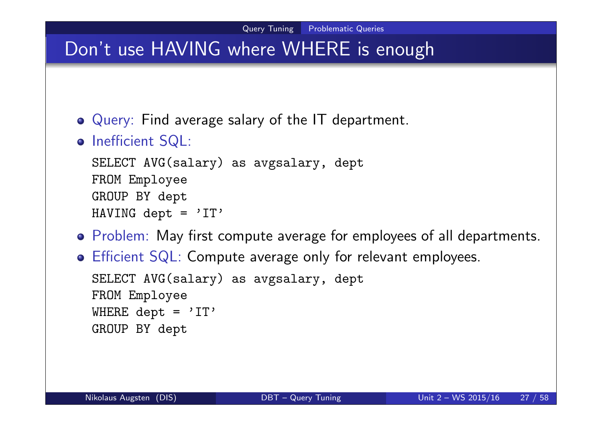## Don't use HAVING where WHERE is enough

- Query: Find average salary of the IT department.
- o Inefficient SQL:

```
SELECT AVG(salary) as avgsalary, dept
FROM Employee
GROUP BY dept
HAVING dept = 'IT'
```
- Problem: May first compute average for employees of all departments.
- Efficient SQL: Compute average only for relevant employees. SELECT AVG(salary) as avgsalary, dept FROM Employee WHERE dept =  $'IT'$ GROUP BY dept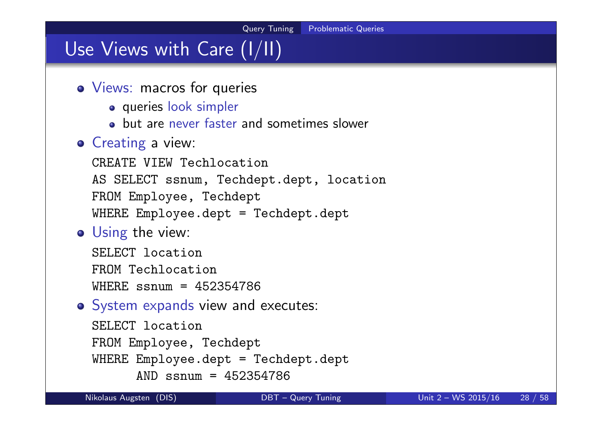# Use Views with Care (I/II)

- Views: macros for queries
	- **o** queries look simpler
	- **•** but are never faster and sometimes slower

### **o** Creating a view:

CREATE VIEW Techlocation AS SELECT ssnum, Techdept.dept, location FROM Employee, Techdept WHERE Employee.dept = Techdept.dept

```
• Using the view:
```
SELECT location FROM Techlocation WHERE ssnum = 452354786

```
o System expands view and executes:
```

```
SELECT location
FROM Employee, Techdept
WHERE Employee.dept = Techdept.dept
      AND ssnum = 452354786
```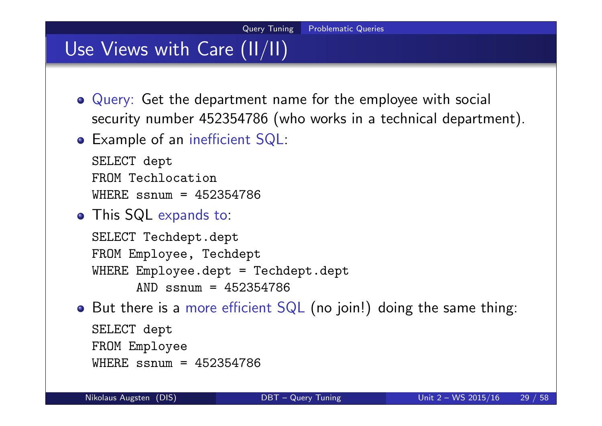## Use Views with Care (II/II)

- Query: Get the department name for the employee with social security number 452354786 (who works in a technical department).
- Example of an inefficient SQL:

```
SELECT dept
FROM Techlocation
WHERE ssnum = 452354786
```
This SQL expands to:

```
SELECT Techdept.dept
FROM Employee, Techdept
WHERE Employee.dept = Techdept.dept
      AND ssnum = 452354786
```
• But there is a more efficient SQL (no join!) doing the same thing:

```
SELECT dept
FROM Employee
WHERE ssnum = 452354786
```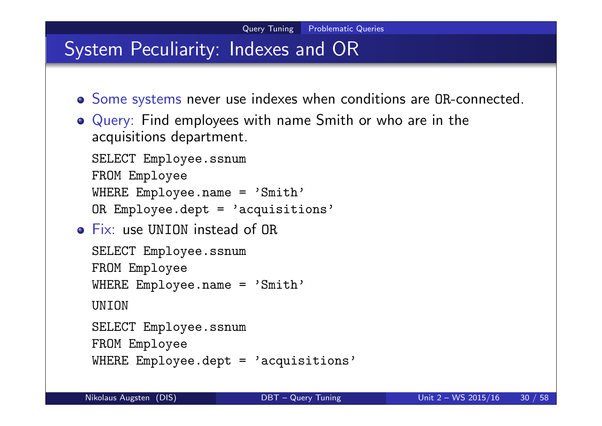## System Peculiarity: Indexes and OR

- Some systems never use indexes when conditions are OR-connected.
- Query: Find employees with name Smith or who are in the acquisitions department.

SELECT Employee.ssnum

```
FROM Employee
```

```
WHERE Employee.name = 'Smith'
```

```
OR Employee.dept = 'acquisitions'
```
Fix: use UNION instead of OR

```
SELECT Employee.ssnum
FROM Employee
WHERE Employee.name = 'Smith'
```

```
UNTON
```

```
SELECT Employee.ssnum
```

```
FROM Employee
```

```
WHERE Employee.dept = 'acquisitions'
```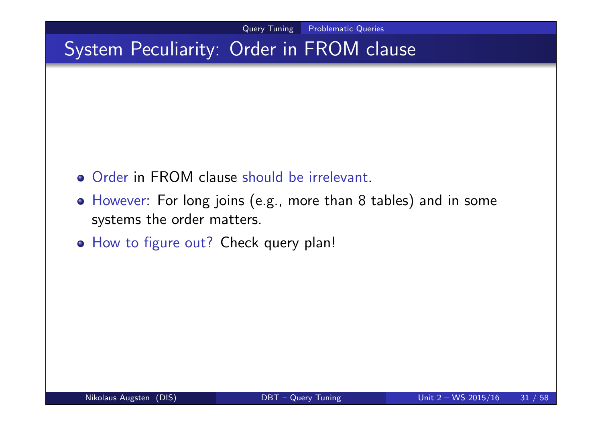## System Peculiarity: Order in FROM clause

- **Order in FROM clause should be irrelevant.**
- However: For long joins (e.g., more than 8 tables) and in some systems the order matters.
- o How to figure out? Check query plan!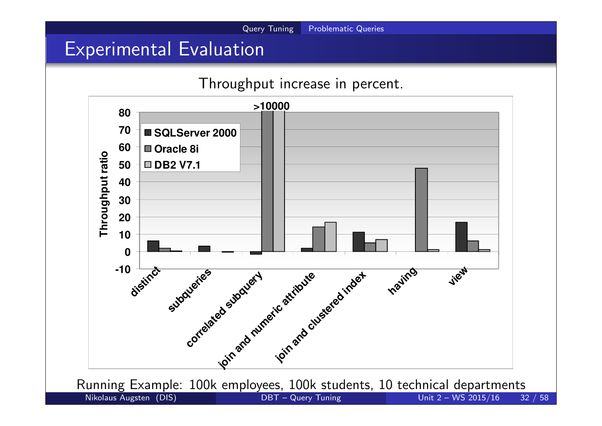## Experimental Evaluation

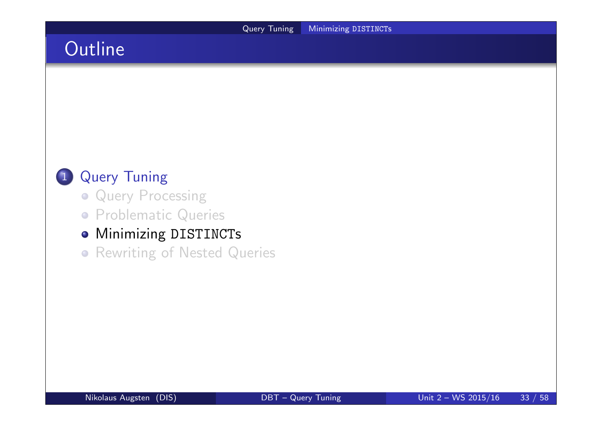# **Outline**



- **Query Processing**
- **Problematic Queries**

### **• Minimizing DISTINCTs**

**• Rewriting of Nested Queries**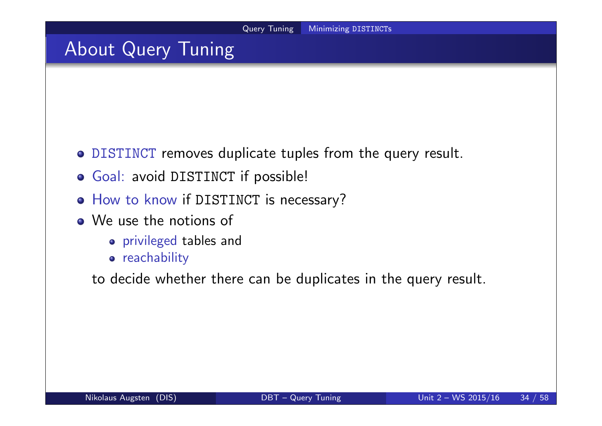## About Query Tuning

- DISTINCT removes duplicate tuples from the query result.
- Goal: avoid DISTINCT if possible!
- o How to know if DISTINCT is necessary?
- We use the notions of
	- privileged tables and
	- **•** reachability

to decide whether there can be duplicates in the query result.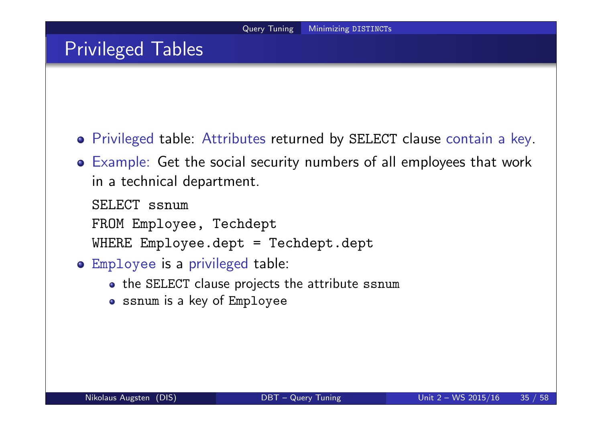## Privileged Tables

- Privileged table: Attributes returned by SELECT clause contain a key.
- Example: Get the social security numbers of all employees that work in a technical department.

SELECT ssnum FROM Employee, Techdept WHERE Employee.dept = Techdept.dept

- Employee is a privileged table:
	- the SELECT clause projects the attribute ssnum
	- ssnum is a key of Employee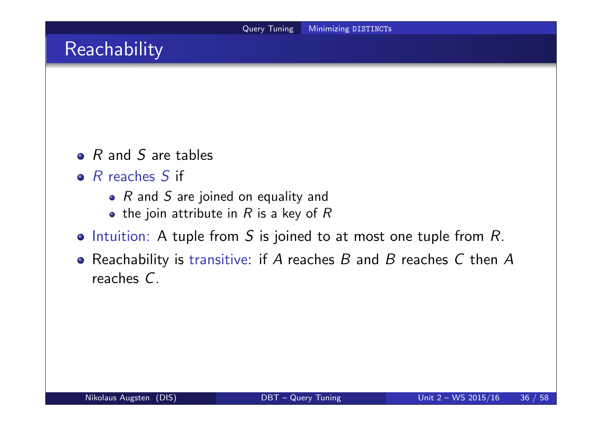## Reachability

- $\bullet$  R and S are tables
- $\bullet$  R reaches S if
	- $R$  and  $S$  are joined on equality and
	- the join attribute in  $R$  is a key of  $R$
- $\bullet$  Intuition: A tuple from S is joined to at most one tuple from R.
- Reachability is transitive: if A reaches  $B$  and  $B$  reaches  $C$  then  $A$ reaches C.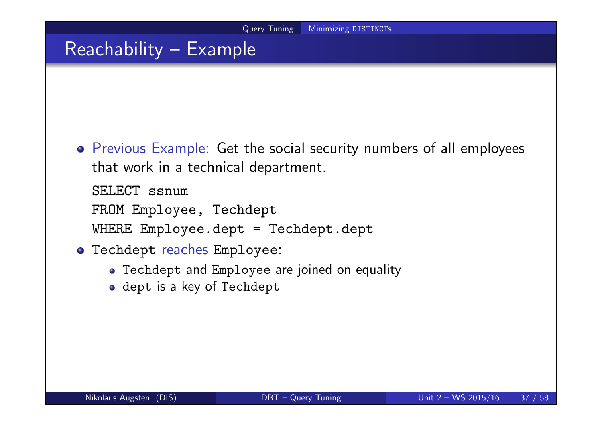## Reachability – Example

Previous Example: Get the social security numbers of all employees that work in a technical department.

SELECT ssnum FROM Employee, Techdept WHERE Employee.dept = Techdept.dept

- Techdept reaches Employee:
	- Techdept and Employee are joined on equality
	- dept is a key of Techdept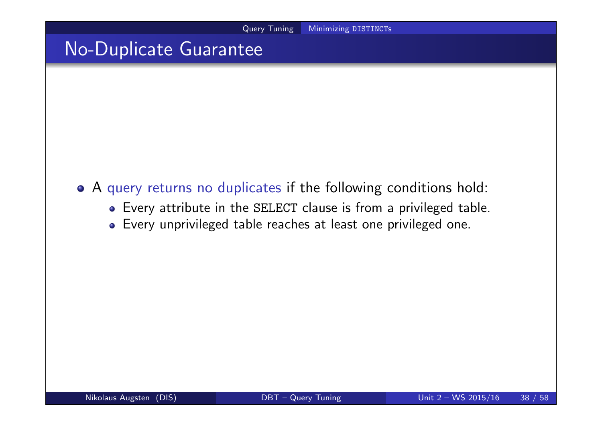### No-Duplicate Guarantee

- A query returns no duplicates if the following conditions hold:
	- Every attribute in the SELECT clause is from a privileged table.
	- Every unprivileged table reaches at least one privileged one.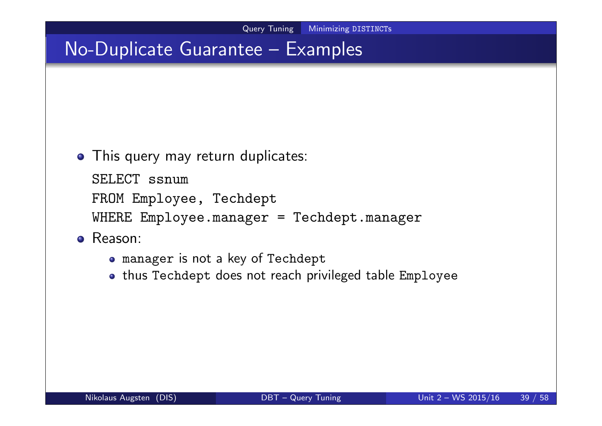- This query may return duplicates:
	- SELECT ssnum
	- FROM Employee, Techdept
	- WHERE Employee.manager = Techdept.manager
- Reason:
	- manager is not a key of Techdept
	- thus Techdept does not reach privileged table Employee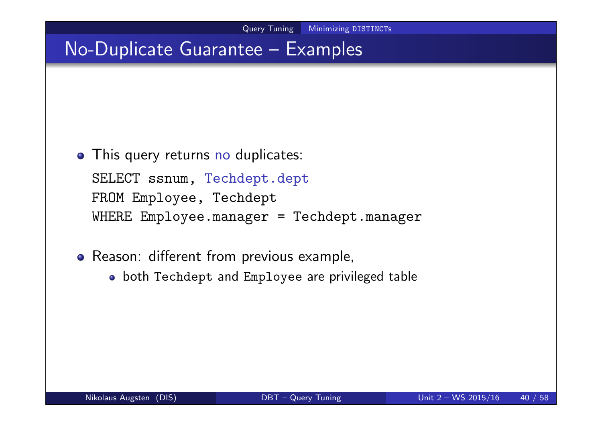- This query returns no duplicates: SELECT ssnum, Techdept.dept FROM Employee, Techdept WHERE Employee.manager = Techdept.manager
- Reason: different from previous example,
	- both Techdept and Employee are privileged table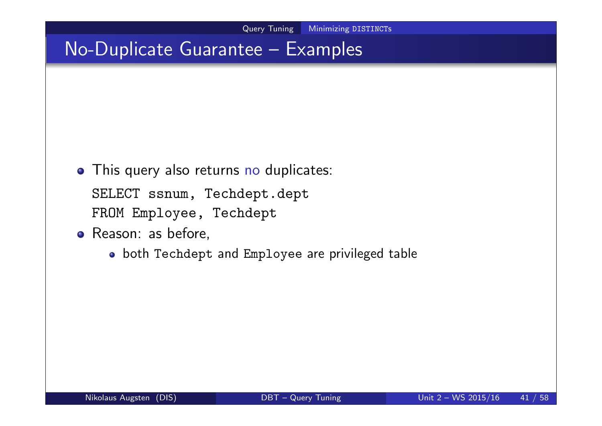- This query also returns no duplicates:
	- SELECT ssnum, Techdept.dept FROM Employee, Techdept
- Reason: as before,
	- both Techdept and Employee are privileged table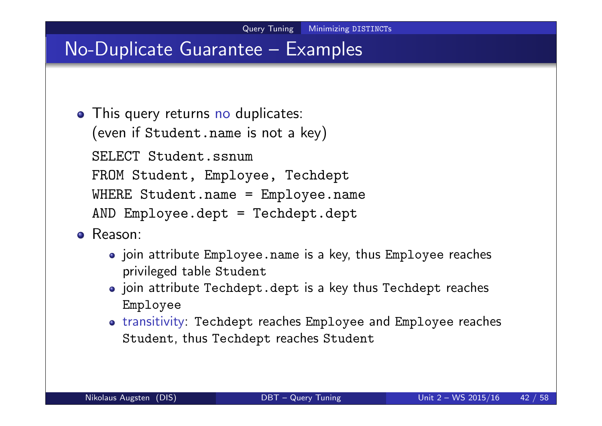- This query returns no duplicates: (even if Student.name is not a key) SELECT Student.ssnum FROM Student, Employee, Techdept WHERE Student.name = Employee.name AND Employee.dept = Techdept.dept
- **•** Reason:
	- join attribute Employee.name is a key, thus Employee reaches privileged table Student
	- join attribute Techdept.dept is a key thus Techdept reaches Employee
	- transitivity: Techdept reaches Employee and Employee reaches Student, thus Techdept reaches Student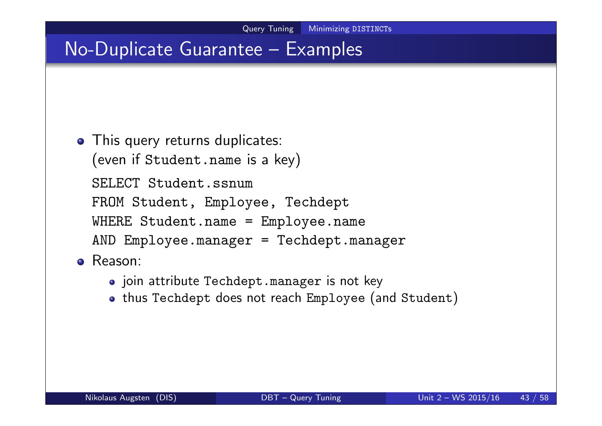```
• This query returns duplicates:
  (even if Student.name is a key)
  SELECT Student.ssnum
 FROM Student, Employee, Techdept
  WHERE Student.name = Employee.name
  AND Employee.manager = Techdept.manager
Reason:
```
- o join attribute Techdept.manager is not key
- . thus Techdept does not reach Employee (and Student)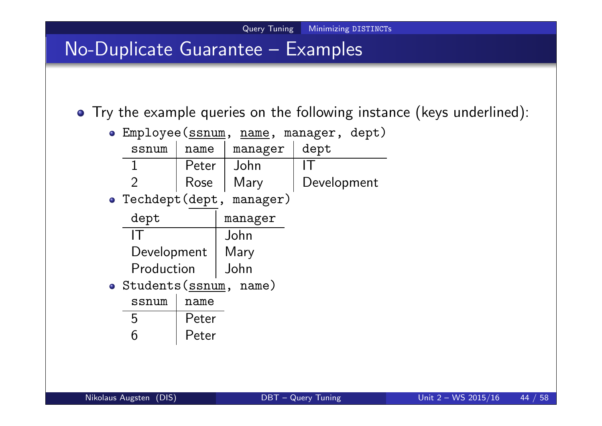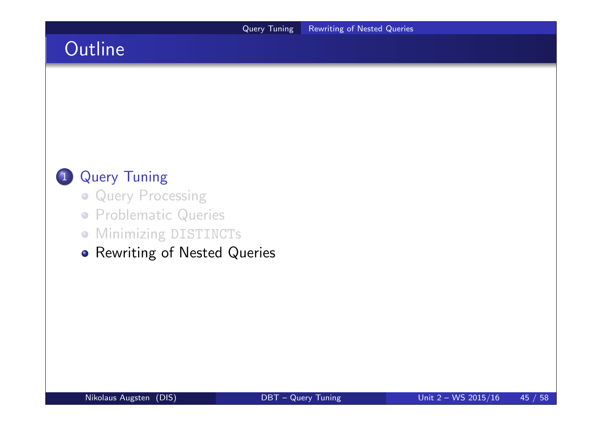# **Outline**



- **Query Processing**
- **Problematic Queries**
- **Minimizing DISTINCTs**
- **•** Rewriting of Nested Queries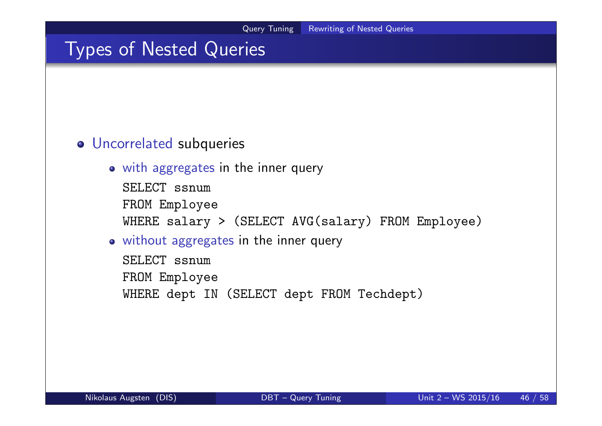### Types of Nested Queries

#### Uncorrelated subqueries

- with aggregates in the inner query
	- SELECT ssnum FROM Employee WHERE salary > (SELECT AVG(salary) FROM Employee)

#### without aggregates in the inner query

SELECT ssnum FROM Employee WHERE dept IN (SELECT dept FROM Techdept)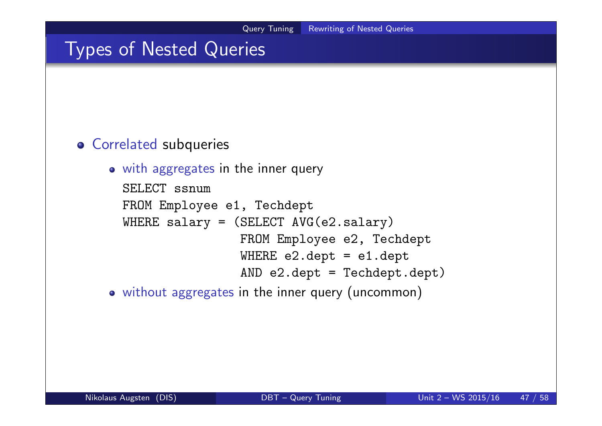### Types of Nested Queries

#### Correlated subqueries

### • with aggregates in the inner query SELECT ssnum FROM Employee e1, Techdept WHERE salary = (SELECT AVG(e2.salary) FROM Employee e2, Techdept WHERE e2.dept = e1.dept AND e2.dept = Techdept.dept)

without aggregates in the inner query (uncommon)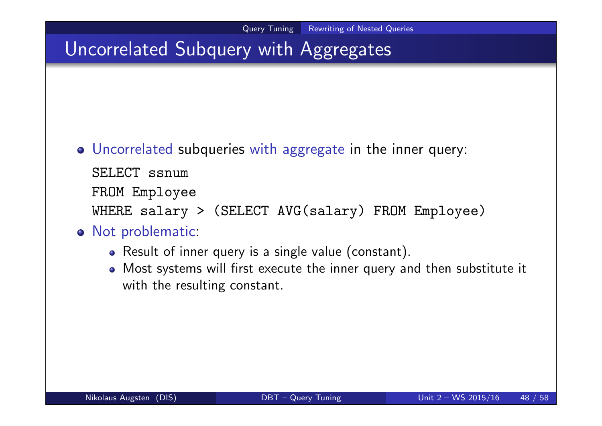# Uncorrelated Subquery with Aggregates

Uncorrelated subqueries with aggregate in the inner query:

SELECT ssnum

FROM Employee

WHERE salary > (SELECT AVG(salary) FROM Employee)

#### • Not problematic:

- Result of inner query is a single value (constant).
- Most systems will first execute the inner query and then substitute it with the resulting constant.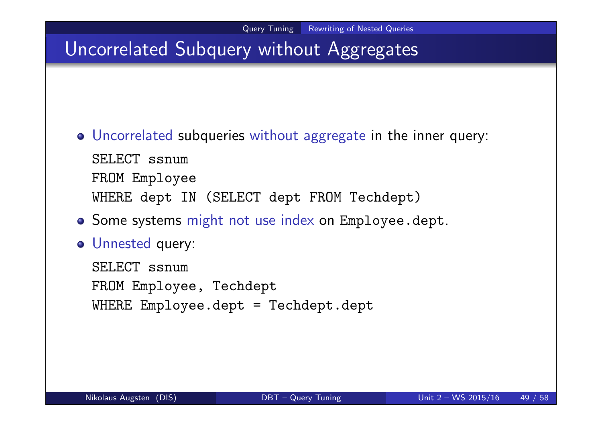# Uncorrelated Subquery without Aggregates

- Uncorrelated subqueries without aggregate in the inner query: SELECT ssnum FROM Employee WHERE dept IN (SELECT dept FROM Techdept)
- o Some systems might not use index on Employee.dept.
- Unnested query:

SELECT ssnum FROM Employee, Techdept WHERE Employee.dept = Techdept.dept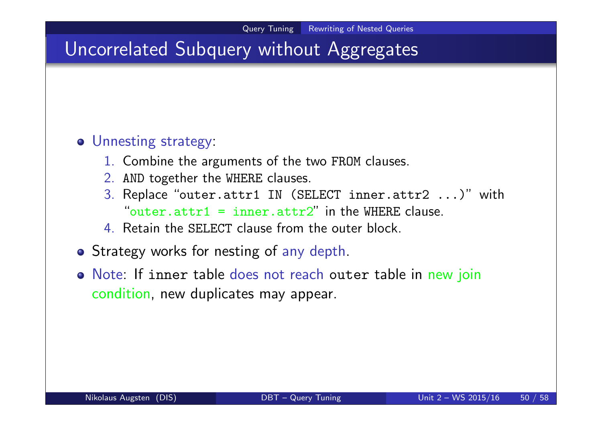## Uncorrelated Subquery without Aggregates

#### Unnesting strategy:

- 1. Combine the arguments of the two FROM clauses.
- 2. AND together the WHERE clauses.
- 3. Replace "outer.attr1 IN (SELECT inner.attr2 ...)" with "outer.attr1 = inner.attr2" in the WHERE clause.
- 4. Retain the SELECT clause from the outer block.
- Strategy works for nesting of any depth.
- Note: If inner table does not reach outer table in new join condition, new duplicates may appear.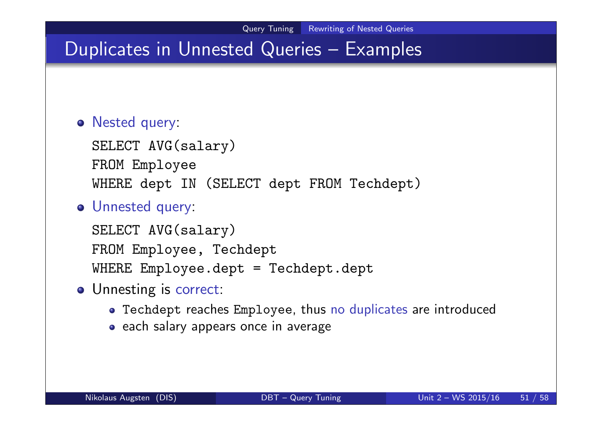## Duplicates in Unnested Queries – Examples

#### Nested query:

SELECT AVG(salary) FROM Employee WHERE dept IN (SELECT dept FROM Techdept)

#### Unnested query:

SELECT AVG(salary) FROM Employee, Techdept WHERE Employee.dept = Techdept.dept

- o Unnesting is correct:
	- Techdept reaches Employee, thus no duplicates are introduced
	- each salary appears once in average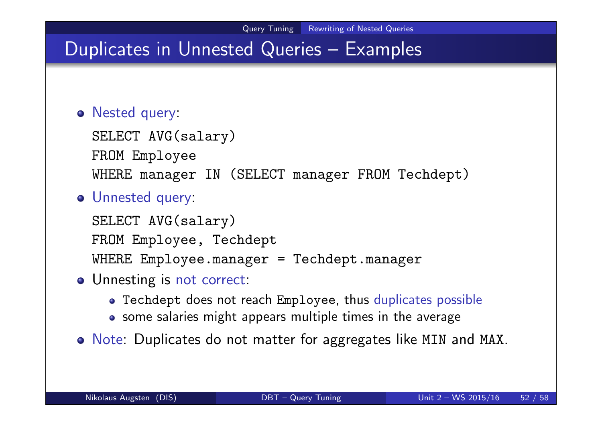## Duplicates in Unnested Queries – Examples

#### Nested query:

SELECT AVG(salary) FROM Employee WHERE manager IN (SELECT manager FROM Techdept)

#### Unnested query:

SELECT AVG(salary) FROM Employee, Techdept WHERE Employee.manager = Techdept.manager

- Unnesting is not correct:
	- Techdept does not reach Employee, thus duplicates possible
	- some salaries might appears multiple times in the average
- Note: Duplicates do not matter for aggregates like MIN and MAX.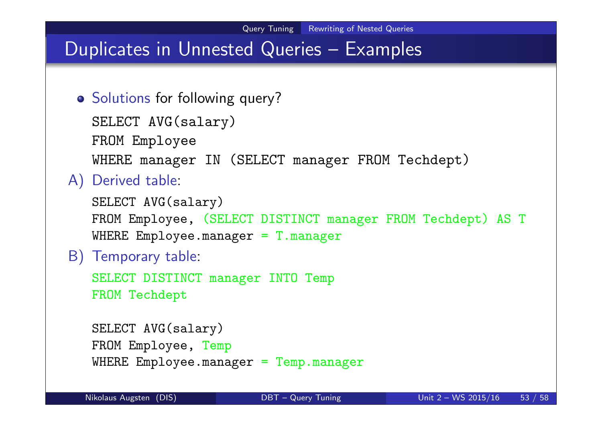## Duplicates in Unnested Queries – Examples

```
o Solutions for following query?
```

```
SELECT AVG(salary)
```
FROM Employee

WHERE manager IN (SELECT manager FROM Techdept)

#### A) Derived table:

```
SELECT AVG(salary)
FROM Employee, (SELECT DISTINCT manager FROM Techdept) AS T
WHERE Employee.manager = T.manager
```
#### B) Temporary table:

SELECT DISTINCT manager INTO Temp FROM Techdept

```
SELECT AVG(salary)
FROM Employee, Temp
WHERE Employee.manager = Temp.manager
```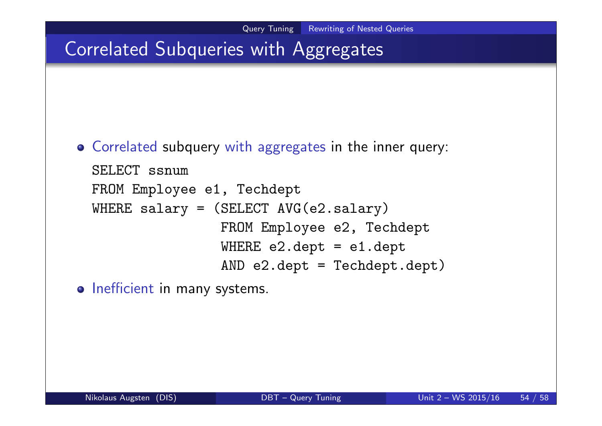## Correlated Subqueries with Aggregates

Correlated subquery with aggregates in the inner query:

```
SELECT ssnum
FROM Employee e1, Techdept
WHERE salary = (SELECT AVG(e2.salary)
                FROM Employee e2, Techdept
                WHERE e2.dept = e1.deptAND e2.dept = Techdept.dept)
```
o Inefficient in many systems.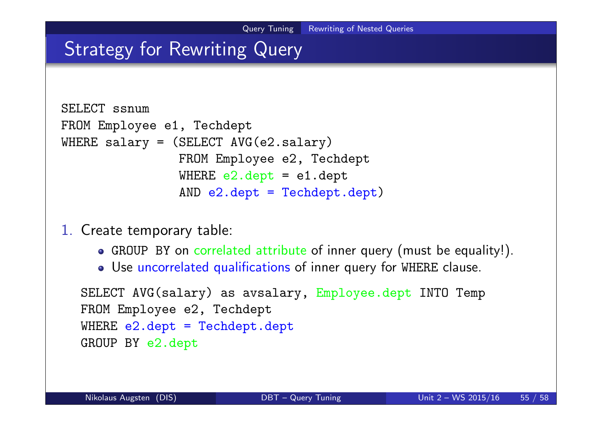## Strategy for Rewriting Query

```
SELECT ssnum
FROM Employee e1, Techdept
WHERE salary = (SELECT AVG (e2.salary))FROM Employee e2, Techdept
                WHERE e2.dept = e1.deptAND e2.dept = Techdept.dept)
```
1. Create temporary table:

- GROUP BY on correlated attribute of inner query (must be equality!).
- Use uncorrelated qualifications of inner query for WHERE clause.

```
SELECT AVG(salary) as avsalary, Employee.dept INTO Temp
FROM Employee e2, Techdept
WHERE e2.dept = Techdepth.deptGROUP BY e2.dept
```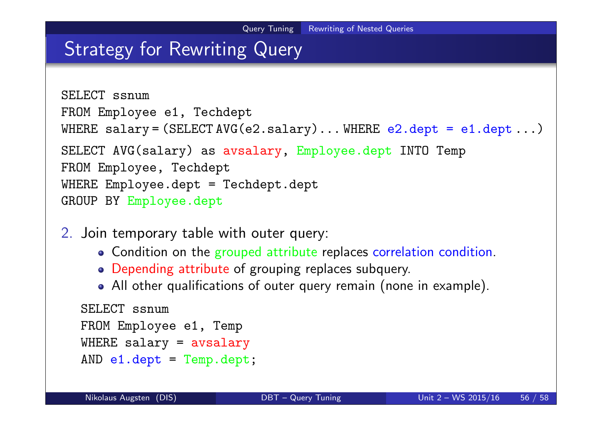### Strategy for Rewriting Query

```
SELECT ssnum
FROM Employee e1, Techdept
WHERE salary = (SELECT \, AVG(e2.salary) \dots WHERE e2.dept = e1.dept ...)
SELECT AVG(salary) as avsalary, Employee.dept INTO Temp
FROM Employee, Techdept
WHERE Employee.dept = Techdept.dept
GROUP BY Employee.dept
```
- 2. Join temporary table with outer query:
	- Condition on the grouped attribute replaces correlation condition.
	- Depending attribute of grouping replaces subquery.
	- All other qualifications of outer query remain (none in example).

```
SELECT ssnum
FROM Employee e1, Temp
WHERE salary = avsalary
AND e1.dept = Temp.dept;
```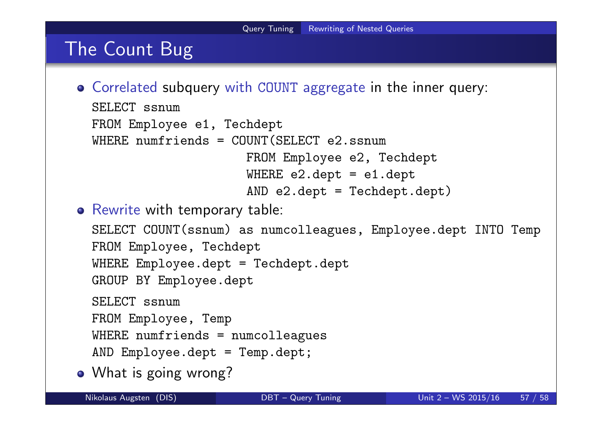## The Count Bug

Correlated subquery with COUNT aggregate in the inner query: SELECT ssnum

```
FROM Employee e1, Techdept
```

```
WHERE numfriends = COUNT(SELECT e2.ssnum
```

```
FROM Employee e2, Techdept
WHERE e2.dept = e1.dept
AND e2.dept = Techdept.dept)
```
**•** Rewrite with temporary table:

```
SELECT COUNT(ssnum) as numcolleagues, Employee.dept INTO Temp
FROM Employee, Techdept
WHERE Employee.dept = Techdept.dept
GROUP BY Employee.dept
SELECT ssnum
FROM Employee, Temp
WHERE numfriends = numcolleagues
AND Employee.dept = Temp.dept;
```
• What is going wrong?